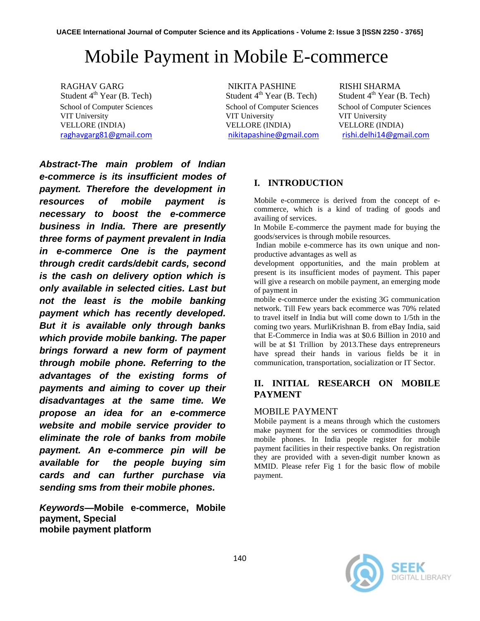# Mobile Payment in Mobile E-commerce

School of Computer Sciences School of Computer Sciences School of Computer Sciences VIT University VIT University VIT University VELLORE (INDIA) VELLORE (INDIA) VELLORE (INDIA) [raghavgarg81@gmail.com](mailto:raghavgarg81@gmail.com) [nikitapashine@gmail.com](mailto:nikitapashine@gmail.com) [rishi.delhi14@gmail.com](mailto:rishi.delhi14@gmail.com) 

RAGHAV GARG<br>Student 4<sup>th</sup> Year (B. Tech) Student 4<sup>th</sup> Year (B. Tech) Student 4<sup>th</sup> Year (In Student 4<sup>th</sup> Year (In Student 4<sup>th</sup> Year (In Student 4<sup>th</sup> Year (In Student 4<sup>th</sup> Year (In Student 4th Year (In Student 4th Year

Student  $4<sup>th</sup>$  Year (B. Tech)

*Abstract-The main problem of Indian e-commerce is its insufficient modes of payment. Therefore the development in resources of mobile payment is necessary to boost the e-commerce business in India. There are presently three forms of payment prevalent in India in e-commerce One is the payment through credit cards/debit cards, second is the cash on delivery option which is only available in selected cities. Last but not the least is the mobile banking payment which has recently developed. But it is available only through banks which provide mobile banking. The paper brings forward a new form of payment through mobile phone. Referring to the advantages of the existing forms of payments and aiming to cover up their disadvantages at the same time. We propose an idea for an e-commerce website and mobile service provider to eliminate the role of banks from mobile payment. An e-commerce pin will be available for the people buying sim cards and can further purchase via sending sms from their mobile phones.* 

*Keywords***—Mobile e-commerce, Mobile payment, Special mobile payment platform**

# **I. INTRODUCTION**

Mobile e-commerce is derived from the concept of ecommerce, which is a kind of trading of goods and availing of services.

In Mobile E-commerce the payment made for buying the goods/services is through mobile resources.

Indian mobile e-commerce has its own unique and nonproductive advantages as well as

development opportunities, and the main problem at present is its insufficient modes of payment. This paper will give a research on mobile payment, an emerging mode of payment in

mobile e-commerce under the existing 3G communication network. Till Few years back ecommerce was 70% related to travel itself in India but will come down to 1/5th in the coming two years. MurliKrishnan B. from eBay India, said that E-Commerce in India was at \$0.6 Billion in 2010 and will be at \$1 Trillion by 2013. These days entrepreneurs have spread their hands in various fields be it in communication, transportation, socialization or IT Sector.

# **II. INITIAL RESEARCH ON MOBILE PAYMENT**

### MOBILE PAYMENT

Mobile payment is a means through which the customers make payment for the services or commodities through mobile phones. In India people register for mobile payment facilities in their respective banks. On registration they are provided with a seven-digit number known as MMID. Please refer Fig 1 for the basic flow of mobile payment.

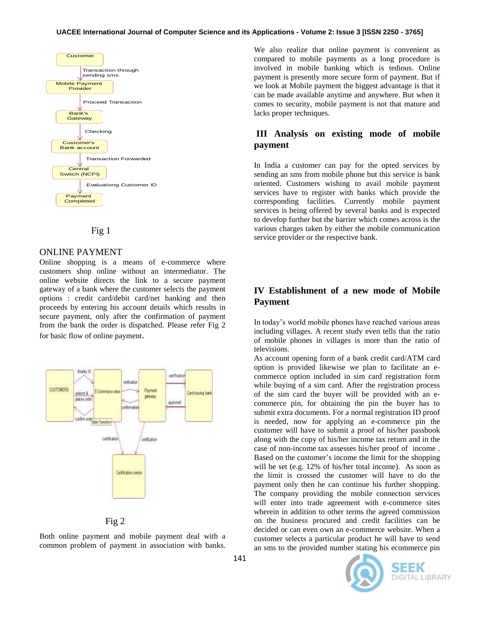#### **UACEE International Journal of Computer Science and its Applications - Volume 2: Issue 3 [ISSN 2250 - 3765]**





#### ONLINE PAYMENT

Online shopping is a means of e-commerce where customers shop online without an intermediator. The online website directs the link to a secure payment gateway of a bank where the customer selects the payment options : credit card/debit card/net banking and then proceeds by entering his account details which results in secure payment, only after the confirmation of payment from the bank the order is dispatched. Please refer Fig 2 for basic flow of online payment.



Fig 2

Both online payment and mobile payment deal with a common problem of payment in association with banks.

We also realize that online payment is convenient as compared to mobile payments as a long procedure is involved in mobile banking which is tedious. Online payment is presently more secure form of payment. But if we look at Mobile payment the biggest advantage is that it can be made available anytime and anywhere. But when it comes to security, mobile payment is not that mature and lacks proper techniques.

## **III Analysis on existing mode of mobile payment**

In India a customer can pay for the opted services by sending an sms from mobile phone but this service is bank oriented. Customers wishing to avail mobile payment services have to register with banks which provide the corresponding facilities. Currently mobile payment services is being offered by several banks and is expected to develop further but the barrier which comes across is the various charges taken by either the mobile communication service provider or the respective bank.

## **IV Establishment of a new mode of Mobile Payment**

In today's world mobile phones have reached various areas including villages. A recent study even tells that the ratio of mobile phones in villages is more than the ratio of televisions.

As account opening form of a bank credit card/ATM card option is provided likewise we plan to facilitate an ecommerce option included in sim card registration form while buying of a sim card. After the registration process of the sim card the buyer will be provided with an ecommerce pin, for obtaining the pin the buyer has to submit extra documents. For a normal registration ID proof is needed, now for applying an e-commerce pin the customer will have to submit a proof of his/her passbook along with the copy of his/her income tax return and in the case of non-income tax assesses his/her proof of income . Based on the customer's income the limit for the shopping will be set (e.g. 12% of his/her total income). As soon as the limit is crossed the customer will have to do the payment only then he can continue his further shopping. The company providing the mobile connection services will enter into trade agreement with e-commerce sites wherein in addition to other terms the agreed commission on the business procured and credit facilities can be decided or can even own an e-commerce website. When a customer selects a particular product he will have to send an sms to the provided number stating his ecommerce pin

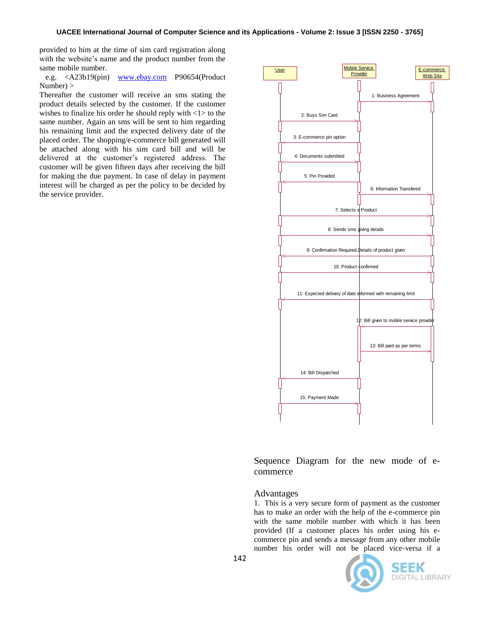provided to him at the time of sim card registration along with the website's name and the product number from the same mobile number.

 e.g. <A23b19(pin) [www.ebay.com](http://www.ebay.com/) P90654(Product Number) >

Thereafter the customer will receive an sms stating the product details selected by the customer. If the customer wishes to finalize his order he should reply with  $\langle 1 \rangle$  to the same number. Again an sms will be sent to him regarding his remaining limit and the expected delivery date of the placed order. The shopping/e-commerce bill generated will be attached along with his sim card bill and will be delivered at the customer's registered address. The customer will be given fifteen days after receiving the bill for making the due payment. In case of delay in payment interest will be charged as per the policy to be decided by the service provider.



Sequence Diagram for the new mode of ecommerce

#### Advantages

1. This is a very secure form of payment as the customer has to make an order with the help of the e-commerce pin with the same mobile number with which it has been provided (If a customer places his order using his ecommerce pin and sends a message from any other mobile number his order will not be placed vice-versa if a